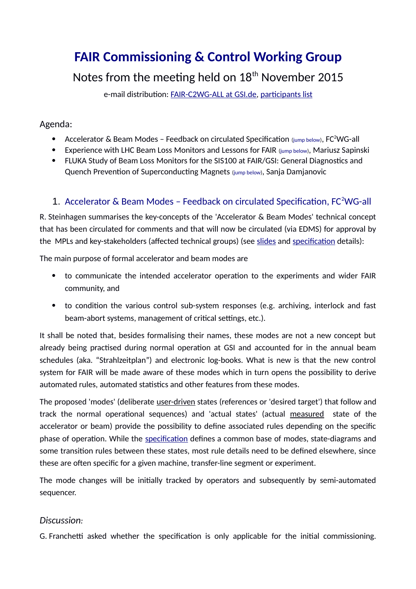# **FAIR Commissioning & Control Working Group**

# Notes from the meeting held on  $18<sup>th</sup>$  November 2015

e-mail distribution: [FAIR-C2WG-ALL at GSI.de,](mailto:FAIR-C2WG-ALL%20(at)%20GSI%20(punkt)%20de) [participants list](https://fair-wiki.gsi.de/foswiki/pub/FC2WG/FairC2WGMinutes/20151118_FC2WG_AttendanceList.pdf)

#### Agenda:

- Accelerator & Beam Modes Feedback on circulated Specification  $_{\text{jump below}}$ , FC<sup>2</sup>WG-all
- Experience with LHC Beam Loss Monitors and Lessons for FAIR (jump [below\)](#page-2-0), Mariusz Sapinski
- FLUKA Study of Beam Loss Monitors for the SIS100 at FAIR/GSI: General Diagnostics and Quench Prevention of Superconducting Magnets (jump [below\)](#page-4-0), Sanja Damjanovic

## <span id="page-0-0"></span>1. [A](#page-0-0)ccelerator & Beam Modes - Feedback on circulated Specification, FC<sup>2</sup>WG-all

R. Steinhagen summarises the key-concepts of the 'Accelerator & Beam Modes' technical concept that has been circulated for comments and that will now be circulated (via EDMS) for approval by the MPLs and key-stakeholders (affected technical groups) (see [slides](https://fair-wiki.gsi.de/foswiki/pub/FC2WG/FairC2WGMinutes/20151118_FCWG_Machine_and_Beam_Modes_Spec_rstein.pdf) and [specification](https://fair-wiki.gsi.de/foswiki/pub/FC2WG/FairC2WGMinutes/20151118_F-TC-C-07e_Accelerator_and_Beam_Modes_v0.2.pdf) details):

The main purpose of formal accelerator and beam modes are

- to communicate the intended accelerator operation to the experiments and wider FAIR community, and
- to condition the various control sub-system responses (e.g. archiving, interlock and fast beam-abort systems, management of critical settings, etc.).

It shall be noted that, besides formalising their names, these modes are not a new concept but already being practised during normal operation at GSI and accounted for in the annual beam schedules (aka. "Strahlzeitplan") and electronic log-books. What is new is that the new control system for FAIR will be made aware of these modes which in turn opens the possibility to derive automated rules, automated statistics and other features from these modes.

The proposed 'modes' (deliberate user-driven states (references or 'desired target') that follow and track the normal operational sequences) and 'actual states' (actual measured state of the accelerator or beam) provide the possibility to define associated rules depending on the specific phase of operation. While the [specification](https://fair-wiki.gsi.de/foswiki/pub/FC2WG/FairC2WGMinutes/20151118_F-TC-C-07e_Accelerator_and_Beam_Modes_v0.2.pdf) defines a common base of modes, state-diagrams and some transition rules between these states, most rule details need to be defined elsewhere, since these are often specific for a given machine, transfer-line segment or experiment.

The mode changes will be initially tracked by operators and subsequently by semi-automated sequencer.

#### *Discussion:*

G. Franchetti asked whether the specification is only applicable for the initial commissioning.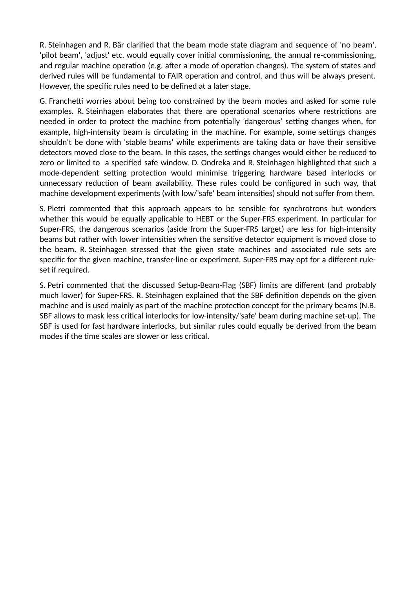R. Steinhagen and R. Bär clarified that the beam mode state diagram and sequence of 'no beam', 'pilot beam', 'adjust' etc. would equally cover initial commissioning, the annual re-commissioning, and regular machine operation (e.g. after a mode of operation changes). The system of states and derived rules will be fundamental to FAIR operation and control, and thus will be always present. However, the specific rules need to be defined at a later stage.

G. Franchetti worries about being too constrained by the beam modes and asked for some rule examples. R. Steinhagen elaborates that there are operational scenarios where restrictions are needed in order to protect the machine from potentially 'dangerous' setting changes when, for example, high-intensity beam is circulating in the machine. For example, some settings changes shouldn't be done with 'stable beams' while experiments are taking data or have their sensitive detectors moved close to the beam. In this cases, the settings changes would either be reduced to zero or limited to a specified safe window. D. Ondreka and R. Steinhagen highlighted that such a mode-dependent setting protection would minimise triggering hardware based interlocks or unnecessary reduction of beam availability. These rules could be configured in such way, that machine development experiments (with low/'safe' beam intensities) should not suffer from them.

S. Pietri commented that this approach appears to be sensible for synchrotrons but wonders whether this would be equally applicable to HEBT or the Super-FRS experiment. In particular for Super-FRS, the dangerous scenarios (aside from the Super-FRS target) are less for high-intensity beams but rather with lower intensities when the sensitive detector equipment is moved close to the beam. R. Steinhagen stressed that the given state machines and associated rule sets are specific for the given machine, transfer-line or experiment. Super-FRS may opt for a different ruleset if required.

S. Petri commented that the discussed Setup-Beam-Flag (SBF) limits are different (and probably much lower) for Super-FRS. R. Steinhagen explained that the SBF definition depends on the given machine and is used mainly as part of the machine protection concept for the primary beams (N.B. SBF allows to mask less critical interlocks for low-intensity/'safe' beam during machine set-up). The SBF is used for fast hardware interlocks, but similar rules could equally be derived from the beam modes if the time scales are slower or less critical.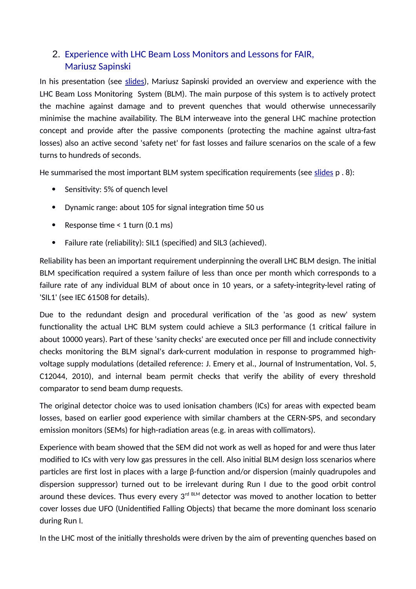## <span id="page-2-0"></span>2. Experience with LHC Beam Loss Monitors and Lessons for FAIR, Mariusz Sapinski

In his presentation (see [slides\)](https://fair-wiki.gsi.de/foswiki/pub/FC2WG/FairC2WGMinutes/20151118_LHCBLM_FC2WG_GSI2015.pdf), Mariusz Sapinski provided an overview and experience with the LHC Beam Loss Monitoring System (BLM). The main purpose of this system is to actively protect the machine against damage and to prevent quenches that would otherwise unnecessarily minimise the machine availability. The BLM interweave into the general LHC machine protection concept and provide after the passive components (protecting the machine against ultra-fast losses) also an active second 'safety net' for fast losses and failure scenarios on the scale of a few turns to hundreds of seconds.

He summarised the most important BLM system specification requirements (see [slides](https://fair-wiki.gsi.de/foswiki/pub/FC2WG/FairC2WGMinutes/20151118_LHCBLM_FC2WG_GSI2015.pdf) p . 8):

- Sensitivity: 5% of quench level
- Dynamic range: about 105 for signal integration time 50 us
- Response time  $<$  1 turn (0.1 ms)
- Failure rate (reliability): SIL1 (specified) and SIL3 (achieved).

Reliability has been an important requirement underpinning the overall LHC BLM design. The initial BLM specification required a system failure of less than once per month which corresponds to a failure rate of any individual BLM of about once in 10 years, or a safety-integrity-level rating of 'SIL1' (see IEC 61508 for details).

Due to the redundant design and procedural verification of the 'as good as new' system functionality the actual LHC BLM system could achieve a SIL3 performance (1 critical failure in about 10000 years). Part of these 'sanity checks' are executed once per fill and include connectivity checks monitoring the BLM signal's dark-current modulation in response to programmed highvoltage supply modulations (detailed reference: J. Emery et al., Journal of Instrumentation, Vol. 5, C12044, 2010), and internal beam permit checks that verify the ability of every threshold comparator to send beam dump requests.

The original detector choice was to used ionisation chambers (ICs) for areas with expected beam losses, based on earlier good experience with similar chambers at the CERN-SPS, and secondary emission monitors (SEMs) for high-radiation areas (e.g. in areas with collimators).

Experience with beam showed that the SEM did not work as well as hoped for and were thus later modified to ICs with very low gas pressures in the cell. Also initial BLM design loss scenarios where particles are first lost in places with a large β-function and/or dispersion (mainly quadrupoles and dispersion suppressor) turned out to be irrelevant during Run I due to the good orbit control around these devices. Thus every every  $3<sup>rd BLM</sup>$  detector was moved to another location to better cover losses due UFO (Unidentified Falling Objects) that became the more dominant loss scenario during Run I.

In the LHC most of the initially thresholds were driven by the aim of preventing quenches based on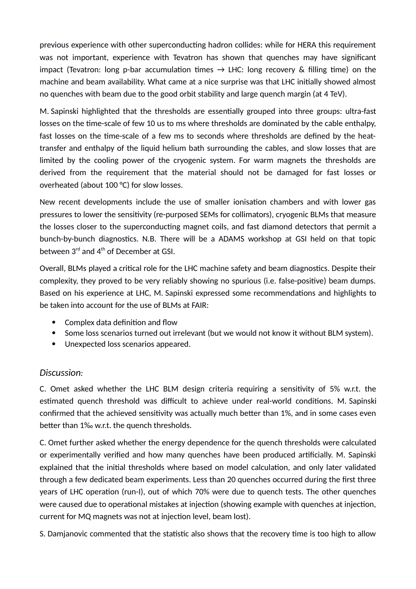previous experience with other superconducting hadron collides: while for HERA this requirement was not important, experience with Tevatron has shown that quenches may have significant impact (Tevatron: long p-bar accumulation times  $\rightarrow$  LHC: long recovery & filling time) on the machine and beam availability. What came at a nice surprise was that LHC initially showed almost no quenches with beam due to the good orbit stability and large quench margin (at 4 TeV).

M. Sapinski highlighted that the thresholds are essentially grouped into three groups: ultra-fast losses on the time-scale of few 10 us to ms where thresholds are dominated by the cable enthalpy, fast losses on the time-scale of a few ms to seconds where thresholds are defined by the heattransfer and enthalpy of the liquid helium bath surrounding the cables, and slow losses that are limited by the cooling power of the cryogenic system. For warm magnets the thresholds are derived from the requirement that the material should not be damaged for fast losses or overheated (about 100 °C) for slow losses.

New recent developments include the use of smaller ionisation chambers and with lower gas pressures to lower the sensitivity (re-purposed SEMs for collimators), cryogenic BLMs that measure the losses closer to the superconducting magnet coils, and fast diamond detectors that permit a bunch-by-bunch diagnostics. N.B. There will be a ADAMS workshop at GSI held on that topic between 3<sup>rd</sup> and 4<sup>th</sup> of December at GSI.

Overall, BLMs played a critical role for the LHC machine safety and beam diagnostics. Despite their complexity, they proved to be very reliably showing no spurious (i.e. false-positive) beam dumps. Based on his experience at LHC, M. Sapinski expressed some recommendations and highlights to be taken into account for the use of BLMs at FAIR:

- Complex data definition and flow
- Some loss scenarios turned out irrelevant (but we would not know it without BLM system).
- Unexpected loss scenarios appeared.

#### *Discussion:*

C. Omet asked whether the LHC BLM design criteria requiring a sensitivity of 5% w.r.t. the estimated quench threshold was difficult to achieve under real-world conditions. M. Sapinski confirmed that the achieved sensitivity was actually much better than 1%, and in some cases even better than 1‰ w.r.t. the quench thresholds.

C. Omet further asked whether the energy dependence for the quench thresholds were calculated or experimentally verified and how many quenches have been produced artificially. M. Sapinski explained that the initial thresholds where based on model calculation, and only later validated through a few dedicated beam experiments. Less than 20 quenches occurred during the first three years of LHC operation (run-I), out of which 70% were due to quench tests. The other quenches were caused due to operational mistakes at injection (showing example with quenches at injection, current for MQ magnets was not at injection level, beam lost).

S. Damjanovic commented that the statistic also shows that the recovery time is too high to allow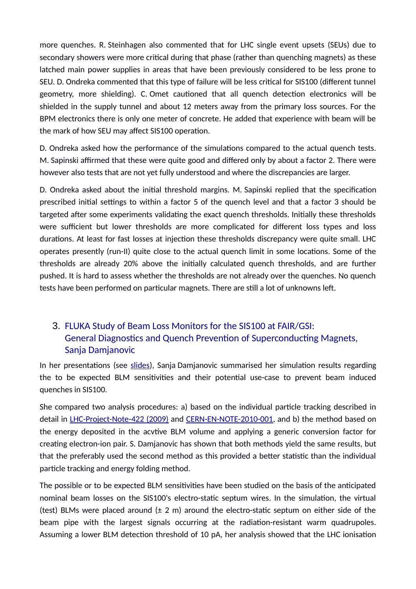more quenches. R. Steinhagen also commented that for LHC single event upsets (SEUs) due to secondary showers were more critical during that phase (rather than quenching magnets) as these latched main power supplies in areas that have been previously considered to be less prone to SEU. D. Ondreka commented that this type of failure will be less critical for SIS100 (different tunnel geometry, more shielding). C. Omet cautioned that all quench detection electronics will be shielded in the supply tunnel and about 12 meters away from the primary loss sources. For the BPM electronics there is only one meter of concrete. He added that experience with beam will be the mark of how SEU may affect SIS100 operation.

D. Ondreka asked how the performance of the simulations compared to the actual quench tests. M. Sapinski affirmed that these were quite good and differed only by about a factor 2. There were however also tests that are not yet fully understood and where the discrepancies are larger.

D. Ondreka asked about the initial threshold margins. M. Sapinski replied that the specification prescribed initial settings to within a factor 5 of the quench level and that a factor 3 should be targeted after some experiments validating the exact quench thresholds. Initially these thresholds were sufficient but lower thresholds are more complicated for different loss types and loss durations. At least for fast losses at injection these thresholds discrepancy were quite small. LHC operates presently (run-II) quite close to the actual quench limit in some locations. Some of the thresholds are already 20% above the initially calculated quench thresholds, and are further pushed. It is hard to assess whether the thresholds are not already over the quenches. No quench tests have been performed on particular magnets. There are still a lot of unknowns left.

# <span id="page-4-0"></span>3. FLUKA Study of Beam Loss Monitors for the SIS100 at FAIR/GSI: General Diagnostics and Quench Prevention of Superconducting Magnets, Sanja Damjanovic

In her presentations (see [slides\)](https://fair-wiki.gsi.de/foswiki/pub/FC2WG/FairC2WGMinutes/20151118_FC2WG_BLMsForFAIR_SDamjanovic_2015.pdf), Sanja Damjanovic summarised her simulation results regarding the to be expected BLM sensitivities and their potential use-case to prevent beam induced quenches in SIS100.

She compared two analysis procedures: a) based on the individual particle tracking described in detail in [LHC-Project-Note-422 \(2009\)](http://cds.cern.ch/record/1174032/files/project-note-422.pdf) and [CERN-EN-NOTE-2010-001,](http://cds.cern.ch/record/1290951/files/CERF09_BLM_Measurements.pdf) and b) the method based on the energy deposited in the acvtive BLM volume and applying a generic conversion factor for creating electron-ion pair. S. Damjanovic has shown that both methods yield the same results, but that the preferably used the second method as this provided a better statistic than the individual particle tracking and energy folding method.

The possible or to be expected BLM sensitivities have been studied on the basis of the anticipated nominal beam losses on the SIS100's electro-static septum wires. In the simulation, the virtual (test) BLMs were placed around  $(\pm 2 \text{ m})$  around the electro-static septum on either side of the beam pipe with the largest signals occurring at the radiation-resistant warm quadrupoles. Assuming a lower BLM detection threshold of 10 pA, her analysis showed that the LHC ionisation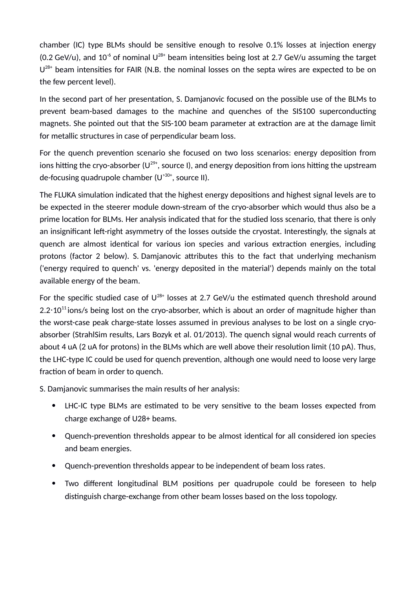chamber (IC) type BLMs should be sensitive enough to resolve 0.1% losses at injection energy (0.2 GeV/u), and 10<sup>-6</sup> of nominal  $U^{28+}$  beam intensities being lost at 2.7 GeV/u assuming the target  $U^{28+}$  beam intensities for FAIR (N.B. the nominal losses on the septa wires are expected to be on the few percent level).

In the second part of her presentation, S. Damjanovic focused on the possible use of the BLMs to prevent beam-based damages to the machine and quenches of the SIS100 superconducting magnets. She pointed out that the SIS-100 beam parameter at extraction are at the damage limit for metallic structures in case of perpendicular beam loss.

For the quench prevention scenario she focused on two loss scenarios: energy deposition from ions hitting the cryo-absorber ( $U^{29+}$ , source I), and energy deposition from ions hitting the upstream de-focusing quadrupole chamber  $(U^{30+})$ , source II).

The FLUKA simulation indicated that the highest energy depositions and highest signal levels are to be expected in the steerer module down-stream of the cryo-absorber which would thus also be a prime location for BLMs. Her analysis indicated that for the studied loss scenario, that there is only an insignificant left-right asymmetry of the losses outside the cryostat. Interestingly, the signals at quench are almost identical for various ion species and various extraction energies, including protons (factor 2 below). S. Damjanovic attributes this to the fact that underlying mechanism ('energy required to quench' vs. 'energy deposited in the material') depends mainly on the total available energy of the beam.

For the specific studied case of  $U^{28+}$  losses at 2.7 GeV/u the estimated quench threshold around 2.2 $\cdot$ 10<sup>11</sup> ions/s being lost on the cryo-absorber, which is about an order of magnitude higher than the worst-case peak charge-state losses assumed in previous analyses to be lost on a single cryoabsorber (StrahlSim results, Lars Bozyk et al. 01/2013). The quench signal would reach currents of about 4 uA (2 uA for protons) in the BLMs which are well above their resolution limit (10 pA). Thus, the LHC-type IC could be used for quench prevention, although one would need to loose very large fraction of beam in order to quench.

S. Damjanovic summarises the main results of her analysis:

- LHC-IC type BLMs are estimated to be very sensitive to the beam losses expected from charge exchange of U28+ beams.
- Quench-prevention thresholds appear to be almost identical for all considered ion species and beam energies.
- Quench-prevention thresholds appear to be independent of beam loss rates.
- Two different longitudinal BLM positions per quadrupole could be foreseen to help distinguish charge-exchange from other beam losses based on the loss topology.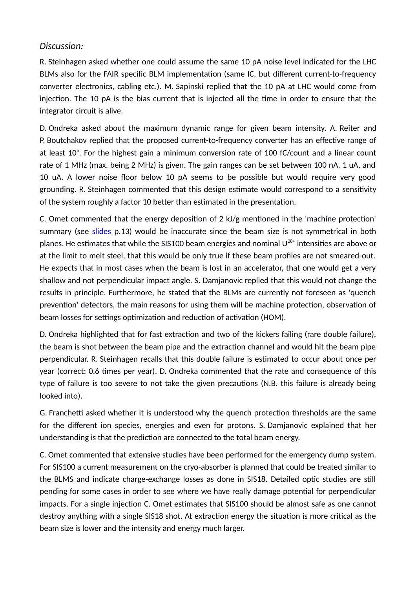#### *Discussion:*

R. Steinhagen asked whether one could assume the same 10 pA noise level indicated for the LHC BLMs also for the FAIR specific BLM implementation (same IC, but different current-to-frequency converter electronics, cabling etc.). M. Sapinski replied that the 10 pA at LHC would come from injection. The 10 pA is the bias current that is injected all the time in order to ensure that the integrator circuit is alive.

D. Ondreka asked about the maximum dynamic range for given beam intensity. A. Reiter and P. Boutchakov replied that the proposed current-to-frequency converter has an effective range of at least  $10<sup>5</sup>$ . For the highest gain a minimum conversion rate of 100 fC/count and a linear count rate of 1 MHz (max. being 2 MHz) is given. The gain ranges can be set between 100 nA, 1 uA, and 10 uA. A lower noise floor below 10 pA seems to be possible but would require very good grounding. R. Steinhagen commented that this design estimate would correspond to a sensitivity of the system roughly a factor 10 better than estimated in the presentation.

C. Omet commented that the energy deposition of 2 kJ/g mentioned in the 'machine protection' summary (see [slides](https://fair-wiki.gsi.de/foswiki/pub/FC2WG/FairC2WGMinutes/20151118_FC2WG_BLMsForFAIR_SDamjanovic_2015.pdf) p.13) would be inaccurate since the beam size is not symmetrical in both planes. He estimates that while the SIS100 beam energies and nominal  $U^{28+}$  intensities are above or at the limit to melt steel, that this would be only true if these beam profiles are not smeared-out. He expects that in most cases when the beam is lost in an accelerator, that one would get a very shallow and not perpendicular impact angle. S. Damjanovic replied that this would not change the results in principle. Furthermore, he stated that the BLMs are currently not foreseen as 'quench prevention' detectors, the main reasons for using them will be machine protection, observation of beam losses for settings optimization and reduction of activation (HOM).

D. Ondreka highlighted that for fast extraction and two of the kickers failing (rare double failure), the beam is shot between the beam pipe and the extraction channel and would hit the beam pipe perpendicular. R. Steinhagen recalls that this double failure is estimated to occur about once per year (correct: 0.6 times per year). D. Ondreka commented that the rate and consequence of this type of failure is too severe to not take the given precautions (N.B. this failure is already being looked into).

G. Franchetti asked whether it is understood why the quench protection thresholds are the same for the different ion species, energies and even for protons. S. Damjanovic explained that her understanding is that the prediction are connected to the total beam energy.

C. Omet commented that extensive studies have been performed for the emergency dump system. For SIS100 a current measurement on the cryo-absorber is planned that could be treated similar to the BLMS and indicate charge-exchange losses as done in SIS18. Detailed optic studies are still pending for some cases in order to see where we have really damage potential for perpendicular impacts. For a single injection C. Omet estimates that SIS100 should be almost safe as one cannot destroy anything with a single SIS18 shot. At extraction energy the situation is more critical as the beam size is lower and the intensity and energy much larger.